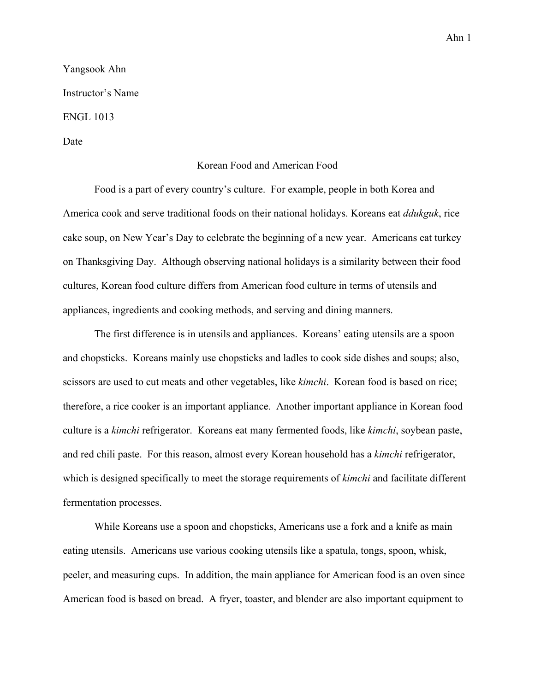Yangsook Ahn Instructor's Name ENGL 1013

## Date

## Korean Food and American Food

Food is a part of every country's culture. For example, people in both Korea and America cook and serve traditional foods on their national holidays. Koreans eat *ddukguk*, rice cake soup, on New Year's Day to celebrate the beginning of a new year. Americans eat turkey on Thanksgiving Day. Although observing national holidays is a similarity between their food cultures, Korean food culture differs from American food culture in terms of utensils and appliances, ingredients and cooking methods, and serving and dining manners.

The first difference is in utensils and appliances. Koreans' eating utensils are a spoon and chopsticks. Koreans mainly use chopsticks and ladles to cook side dishes and soups; also, scissors are used to cut meats and other vegetables, like *kimchi*. Korean food is based on rice; therefore, a rice cooker is an important appliance. Another important appliance in Korean food culture is a *kimchi* refrigerator. Koreans eat many fermented foods, like *kimchi*, soybean paste, and red chili paste. For this reason, almost every Korean household has a *kimchi* refrigerator, which is designed specifically to meet the storage requirements of *kimchi* and facilitate different fermentation processes.

While Koreans use a spoon and chopsticks, Americans use a fork and a knife as main eating utensils. Americans use various cooking utensils like a spatula, tongs, spoon, whisk, peeler, and measuring cups. In addition, the main appliance for American food is an oven since American food is based on bread. A fryer, toaster, and blender are also important equipment to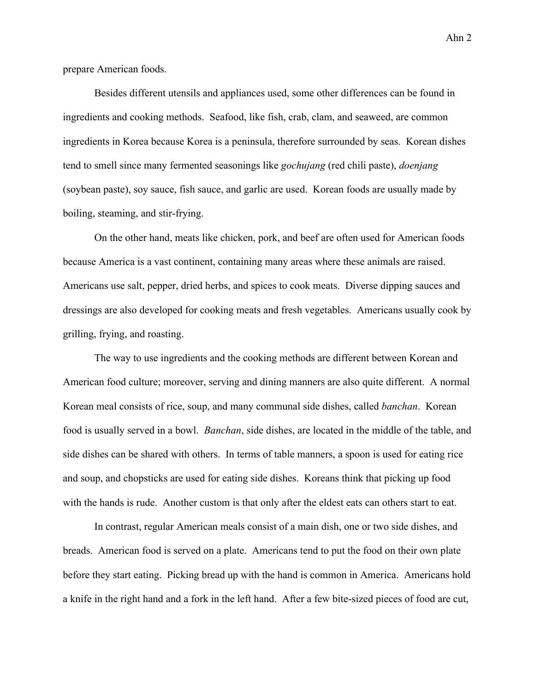prepare American foods.

Besides different utensils and appliances used, some other differences can be found in ingredients and cooking methods. Seafood, like fish, crab, clam, and seaweed, are common ingredients in Korea because Korea is a peninsula, therefore surrounded by seas. Korean dishes tend to smell since many fermented seasonings like *gochujang* (red chili paste), *doenjang* (soybean paste), soy sauce, fish sauce, and garlic are used. Korean foods are usually made by boiling, steaming, and stir-frying.

On the other hand, meats like chicken, pork, and beef are often used for American foods because America is a vast continent, containing many areas where these animals are raised. Americans use salt, pepper, dried herbs, and spices to cook meats. Diverse dipping sauces and dressings are also developed for cooking meats and fresh vegetables. Americans usually cook by grilling, frying, and roasting.

The way to use ingredients and the cooking methods are different between Korean and American food culture; moreover, serving and dining manners are also quite different. A normal Korean meal consists of rice, soup, and many communal side dishes, called *banchan*. Korean food is usually served in a bowl. *Banchan*, side dishes, are located in the middle of the table, and side dishes can be shared with others. In terms of table manners, a spoon is used for eating rice and soup, and chopsticks are used for eating side dishes. Koreans think that picking up food with the hands is rude. Another custom is that only after the eldest eats can others start to eat.

In contrast, regular American meals consist of a main dish, one or two side dishes, and breads. American food is served on a plate. Americans tend to put the food on their own plate before they start eating. Picking bread up with the hand is common in America. Americans hold a knife in the right hand and a fork in the left hand. After a few bite-sized pieces of food are cut,